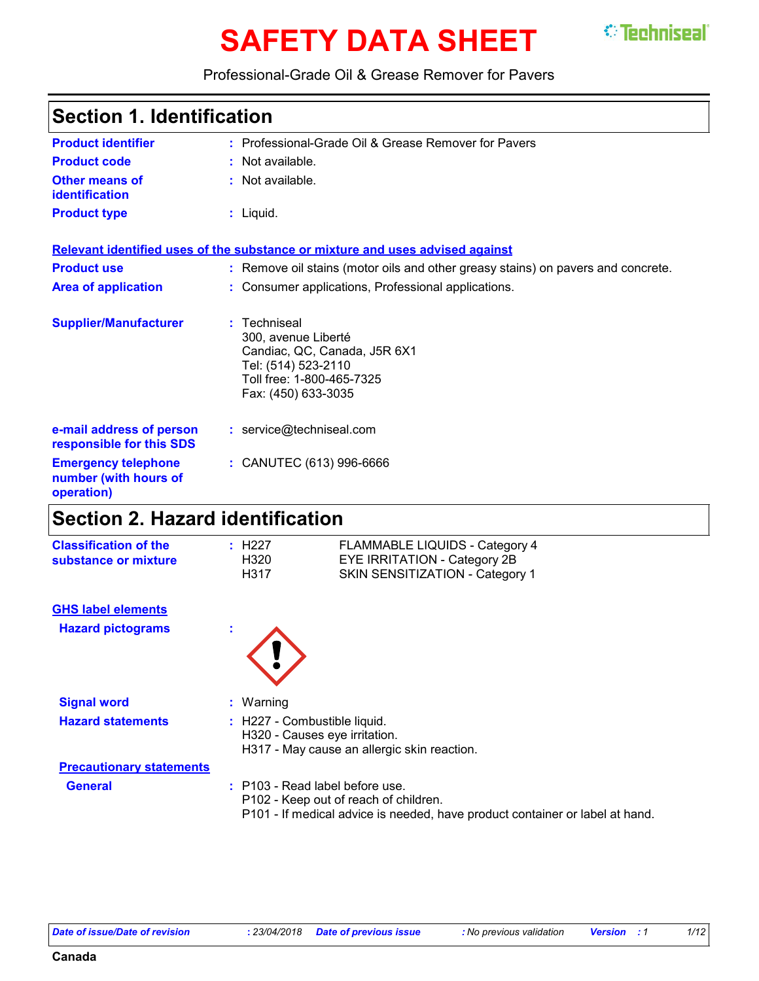# **SAFETY DATA SHEET STEEDINGERY**



#### Professional-Grade Oil & Grease Remover for Pavers

### **Section 1. Identification**

| <b>Product identifier</b>                                         | : Professional-Grade Oil & Grease Remover for Pavers                                                                                           |
|-------------------------------------------------------------------|------------------------------------------------------------------------------------------------------------------------------------------------|
| <b>Product code</b>                                               | : Not available.                                                                                                                               |
| Other means of<br>identification                                  | : Not available.                                                                                                                               |
| <b>Product type</b>                                               | $:$ Liquid.                                                                                                                                    |
|                                                                   | Relevant identified uses of the substance or mixture and uses advised against                                                                  |
| <b>Product use</b>                                                | : Remove oil stains (motor oils and other greasy stains) on pavers and concrete.                                                               |
| <b>Area of application</b>                                        | : Consumer applications, Professional applications.                                                                                            |
| <b>Supplier/Manufacturer</b>                                      | : Techniseal<br>300, avenue Liberté<br>Candiac, QC, Canada, J5R 6X1<br>Tel: (514) 523-2110<br>Toll free: 1-800-465-7325<br>Fax: (450) 633-3035 |
| e-mail address of person<br>responsible for this SDS              | : service@techniseal.com                                                                                                                       |
| <b>Emergency telephone</b><br>number (with hours of<br>operation) | : CANUTEC (613) 996-6666                                                                                                                       |
|                                                                   |                                                                                                                                                |

### **Section 2. Hazard identification**

| <b>Classification of the</b> | : H227 | FLAMMABLE LIQUIDS - Category 4  |
|------------------------------|--------|---------------------------------|
| substance or mixture         | H320   | EYE IRRITATION - Category 2B    |
|                              | H317   | SKIN SENSITIZATION - Category 1 |

#### **GHS label elements**

**Hazard pictograms :**



| <b>Signal word</b>              | $:$ Warning                                                                                                                                                |
|---------------------------------|------------------------------------------------------------------------------------------------------------------------------------------------------------|
| <b>Hazard statements</b>        | : H227 - Combustible liquid.<br>H320 - Causes eye irritation.<br>H317 - May cause an allergic skin reaction.                                               |
| <b>Precautionary statements</b> |                                                                                                                                                            |
| <b>General</b>                  | $:$ P103 - Read label before use.<br>P102 - Keep out of reach of children.<br>P101 - If medical advice is needed, have product container or label at hand. |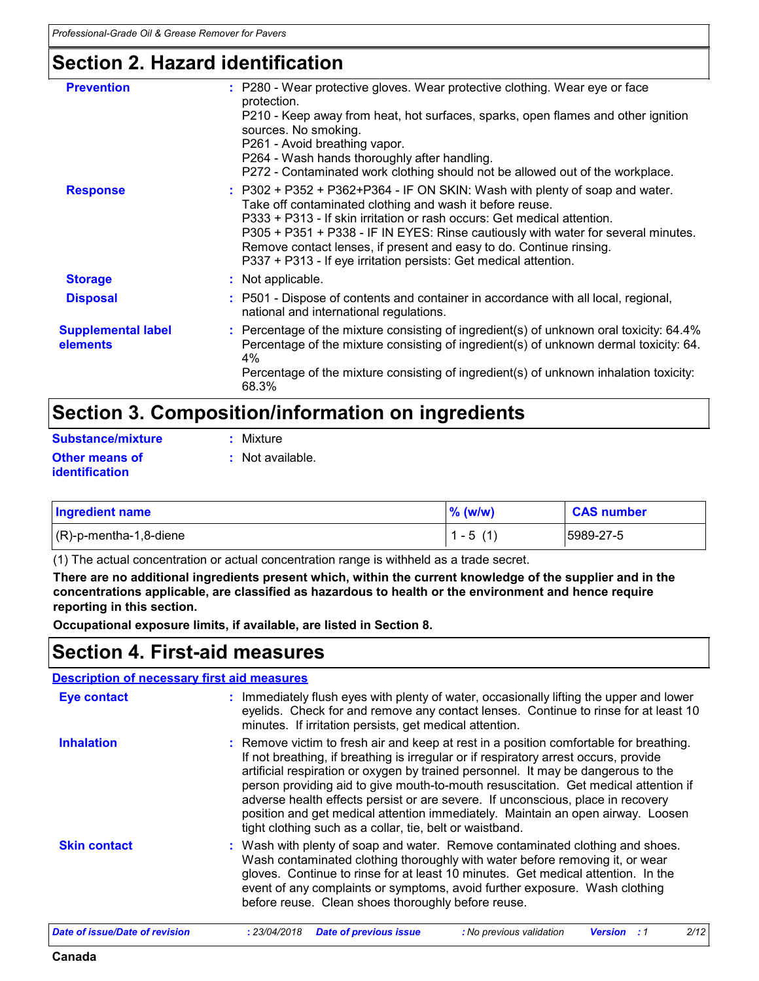### **Section 2. Hazard identification**

| : P280 - Wear protective gloves. Wear protective clothing. Wear eye or face<br>protection.<br>P210 - Keep away from heat, hot surfaces, sparks, open flames and other ignition<br>sources. No smoking.<br>P261 - Avoid breathing vapor.<br>P264 - Wash hands thoroughly after handling.<br>P272 - Contaminated work clothing should not be allowed out of the workplace.                                                                               |
|--------------------------------------------------------------------------------------------------------------------------------------------------------------------------------------------------------------------------------------------------------------------------------------------------------------------------------------------------------------------------------------------------------------------------------------------------------|
| $: P302 + P352 + P362 + P364 - IF ON SKIN: Wash with plenty of soap and water.$<br>Take off contaminated clothing and wash it before reuse.<br>P333 + P313 - If skin irritation or rash occurs: Get medical attention.<br>P305 + P351 + P338 - IF IN EYES: Rinse cautiously with water for several minutes.<br>Remove contact lenses, if present and easy to do. Continue rinsing.<br>P337 + P313 - If eye irritation persists: Get medical attention. |
| : Not applicable.                                                                                                                                                                                                                                                                                                                                                                                                                                      |
| : P501 - Dispose of contents and container in accordance with all local, regional,<br>national and international regulations.                                                                                                                                                                                                                                                                                                                          |
| : Percentage of the mixture consisting of ingredient(s) of unknown oral toxicity: 64.4%<br>Percentage of the mixture consisting of ingredient(s) of unknown dermal toxicity: 64.<br>4%<br>Percentage of the mixture consisting of ingredient(s) of unknown inhalation toxicity:<br>68.3%                                                                                                                                                               |
|                                                                                                                                                                                                                                                                                                                                                                                                                                                        |

### **Section 3. Composition/information on ingredients**

| <b>Substance/mixture</b> | : Mixture        |
|--------------------------|------------------|
| Other means of           | : Not available. |
| identification           |                  |

| <b>Ingredient name</b>    | $%$ (w/w)  | <b>CAS number</b> |
|---------------------------|------------|-------------------|
| $(R)$ -p-mentha-1,8-diene | $1 - 5(1)$ | 15989-27-5        |

(1) The actual concentration or actual concentration range is withheld as a trade secret.

**There are no additional ingredients present which, within the current knowledge of the supplier and in the concentrations applicable, are classified as hazardous to health or the environment and hence require reporting in this section.**

**Occupational exposure limits, if available, are listed in Section 8.**

### **Section 4. First-aid measures**

#### **Description of necessary first aid measures**

| <b>Eye contact</b>  | : Immediately flush eyes with plenty of water, occasionally lifting the upper and lower<br>eyelids. Check for and remove any contact lenses. Continue to rinse for at least 10<br>minutes. If irritation persists, get medical attention.                                                                                                                                                                                                                                                                                                                                                    |
|---------------------|----------------------------------------------------------------------------------------------------------------------------------------------------------------------------------------------------------------------------------------------------------------------------------------------------------------------------------------------------------------------------------------------------------------------------------------------------------------------------------------------------------------------------------------------------------------------------------------------|
| <b>Inhalation</b>   | : Remove victim to fresh air and keep at rest in a position comfortable for breathing.<br>If not breathing, if breathing is irregular or if respiratory arrest occurs, provide<br>artificial respiration or oxygen by trained personnel. It may be dangerous to the<br>person providing aid to give mouth-to-mouth resuscitation. Get medical attention if<br>adverse health effects persist or are severe. If unconscious, place in recovery<br>position and get medical attention immediately. Maintain an open airway. Loosen<br>tight clothing such as a collar, tie, belt or waistband. |
| <b>Skin contact</b> | : Wash with plenty of soap and water. Remove contaminated clothing and shoes.<br>Wash contaminated clothing thoroughly with water before removing it, or wear<br>gloves. Continue to rinse for at least 10 minutes. Get medical attention. In the<br>event of any complaints or symptoms, avoid further exposure. Wash clothing<br>before reuse. Clean shoes thoroughly before reuse.                                                                                                                                                                                                        |

| Date of issue/Date of revision | 23/04/2018 | Date of previous issue | : No previous validation | <b>Version</b> | 2/12 |  |
|--------------------------------|------------|------------------------|--------------------------|----------------|------|--|
|                                |            |                        |                          |                |      |  |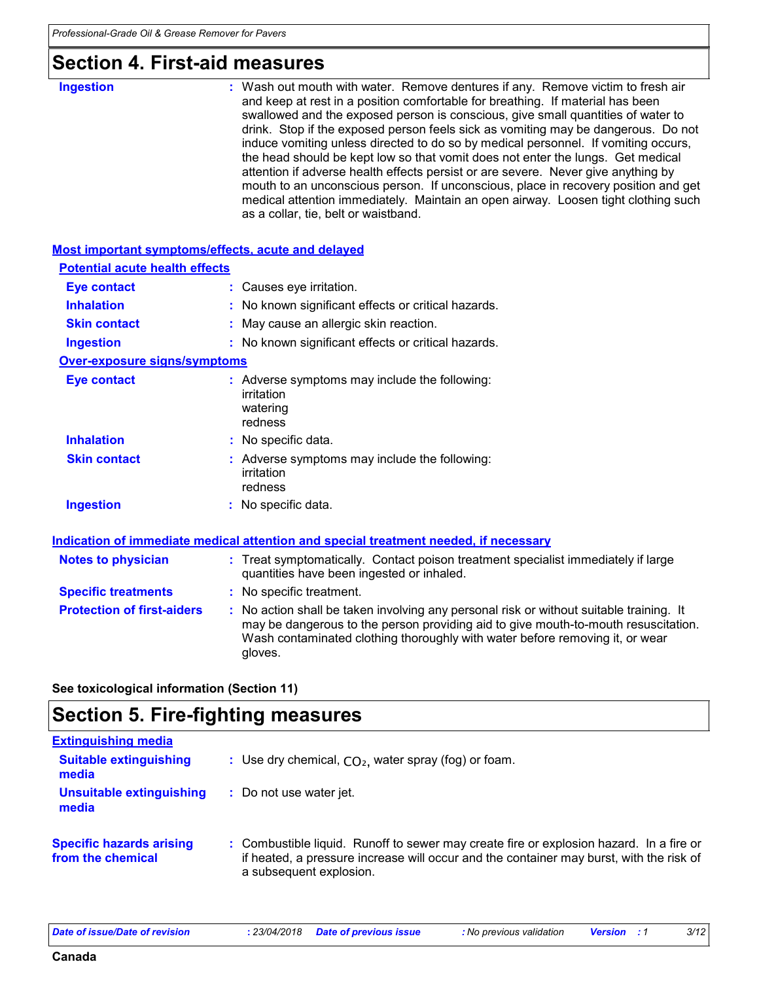### **Section 4. First-aid measures**

| <b>Ingestion</b>                                   | : Wash out mouth with water. Remove dentures if any. Remove victim to fresh air<br>and keep at rest in a position comfortable for breathing. If material has been<br>swallowed and the exposed person is conscious, give small quantities of water to<br>drink. Stop if the exposed person feels sick as vomiting may be dangerous. Do not<br>induce vomiting unless directed to do so by medical personnel. If vomiting occurs,<br>the head should be kept low so that vomit does not enter the lungs. Get medical<br>attention if adverse health effects persist or are severe. Never give anything by<br>mouth to an unconscious person. If unconscious, place in recovery position and get<br>medical attention immediately. Maintain an open airway. Loosen tight clothing such<br>as a collar, tie, belt or waistband. |
|----------------------------------------------------|------------------------------------------------------------------------------------------------------------------------------------------------------------------------------------------------------------------------------------------------------------------------------------------------------------------------------------------------------------------------------------------------------------------------------------------------------------------------------------------------------------------------------------------------------------------------------------------------------------------------------------------------------------------------------------------------------------------------------------------------------------------------------------------------------------------------------|
| Most important symptoms/effects, acute and delayed |                                                                                                                                                                                                                                                                                                                                                                                                                                                                                                                                                                                                                                                                                                                                                                                                                              |
| <b>Potential acute health effects</b>              |                                                                                                                                                                                                                                                                                                                                                                                                                                                                                                                                                                                                                                                                                                                                                                                                                              |
| <b>Eye contact</b>                                 | : Causes eye irritation.                                                                                                                                                                                                                                                                                                                                                                                                                                                                                                                                                                                                                                                                                                                                                                                                     |
| <b>Inhalation</b>                                  | : No known significant effects or critical hazards.                                                                                                                                                                                                                                                                                                                                                                                                                                                                                                                                                                                                                                                                                                                                                                          |
| <b>Skin contact</b>                                | : May cause an allergic skin reaction.                                                                                                                                                                                                                                                                                                                                                                                                                                                                                                                                                                                                                                                                                                                                                                                       |
| <b>Ingestion</b>                                   | : No known significant effects or critical hazards.                                                                                                                                                                                                                                                                                                                                                                                                                                                                                                                                                                                                                                                                                                                                                                          |
| <b>Over-exposure signs/symptoms</b>                |                                                                                                                                                                                                                                                                                                                                                                                                                                                                                                                                                                                                                                                                                                                                                                                                                              |
| <b>Eye contact</b>                                 | : Adverse symptoms may include the following:<br>irritation<br>watering<br>redness                                                                                                                                                                                                                                                                                                                                                                                                                                                                                                                                                                                                                                                                                                                                           |
| <b>Inhalation</b>                                  | : No specific data.                                                                                                                                                                                                                                                                                                                                                                                                                                                                                                                                                                                                                                                                                                                                                                                                          |
| <b>Skin contact</b>                                | : Adverse symptoms may include the following:<br>irritation<br>redness                                                                                                                                                                                                                                                                                                                                                                                                                                                                                                                                                                                                                                                                                                                                                       |
| <b>Ingestion</b>                                   | : No specific data.                                                                                                                                                                                                                                                                                                                                                                                                                                                                                                                                                                                                                                                                                                                                                                                                          |
|                                                    | Indication of immediate medical attention and special treatment needed, if necessary                                                                                                                                                                                                                                                                                                                                                                                                                                                                                                                                                                                                                                                                                                                                         |
| <b>Notes to physician</b>                          | : Treat symptomatically. Contact poison treatment specialist immediately if large<br>quantities have been ingested or inhaled.                                                                                                                                                                                                                                                                                                                                                                                                                                                                                                                                                                                                                                                                                               |
| <b>Specific treatments</b>                         | : No specific treatment.                                                                                                                                                                                                                                                                                                                                                                                                                                                                                                                                                                                                                                                                                                                                                                                                     |
| <b>Protection of first-aiders</b>                  | : No action shall be taken involving any personal risk or without suitable training. It<br>may be dangerous to the person providing aid to give mouth-to-mouth resuscitation.<br>Wash contaminated clothing thoroughly with water before removing it, or wear<br>gloves.                                                                                                                                                                                                                                                                                                                                                                                                                                                                                                                                                     |

**See toxicological information (Section 11)**

### **Section 5. Fire-fighting measures**

| <b>Extinguishing media</b>                           |                                                                                                                                                                                                               |
|------------------------------------------------------|---------------------------------------------------------------------------------------------------------------------------------------------------------------------------------------------------------------|
| <b>Suitable extinguishing</b><br>media               | : Use dry chemical, $CO2$ , water spray (fog) or foam.                                                                                                                                                        |
| Unsuitable extinguishing<br>media                    | : Do not use water jet.                                                                                                                                                                                       |
| <b>Specific hazards arising</b><br>from the chemical | : Combustible liquid. Runoff to sewer may create fire or explosion hazard. In a fire or<br>if heated, a pressure increase will occur and the container may burst, with the risk of<br>a subsequent explosion. |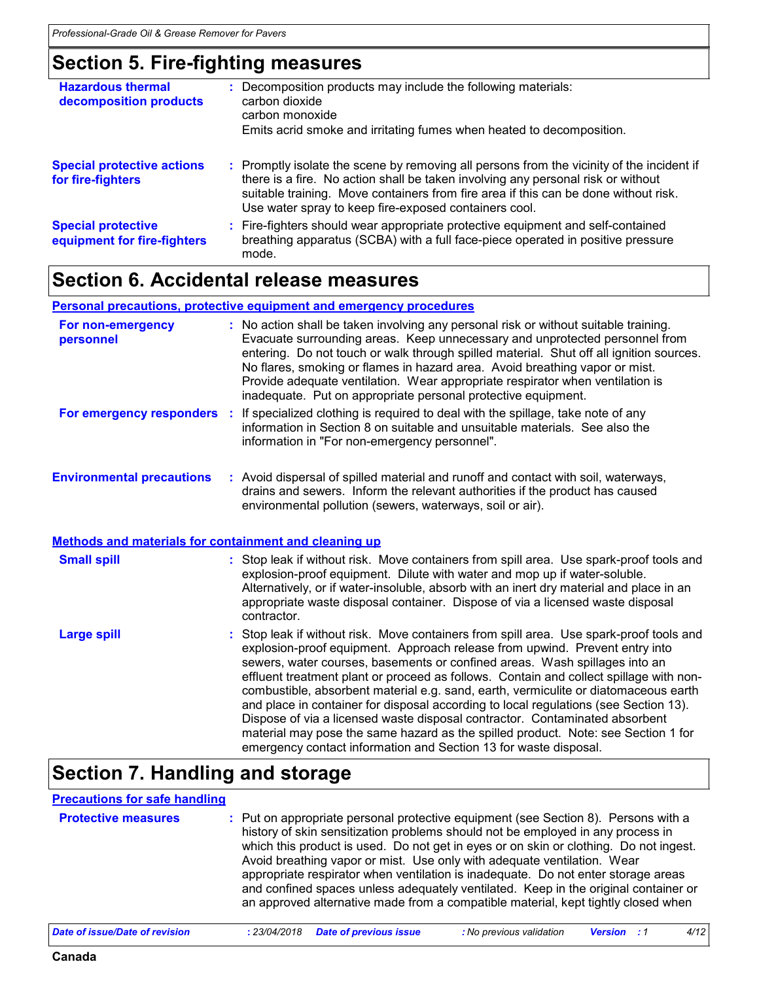### **Section 5. Fire-fighting measures**

| <b>Hazardous thermal</b><br>decomposition products       | : Decomposition products may include the following materials:<br>carbon dioxide<br>carbon monoxide<br>Emits acrid smoke and irritating fumes when heated to decomposition.                                                                                                                                                    |
|----------------------------------------------------------|-------------------------------------------------------------------------------------------------------------------------------------------------------------------------------------------------------------------------------------------------------------------------------------------------------------------------------|
| <b>Special protective actions</b><br>for fire-fighters   | : Promptly isolate the scene by removing all persons from the vicinity of the incident if<br>there is a fire. No action shall be taken involving any personal risk or without<br>suitable training. Move containers from fire area if this can be done without risk.<br>Use water spray to keep fire-exposed containers cool. |
| <b>Special protective</b><br>equipment for fire-fighters | : Fire-fighters should wear appropriate protective equipment and self-contained<br>breathing apparatus (SCBA) with a full face-piece operated in positive pressure<br>mode.                                                                                                                                                   |

### **Section 6. Accidental release measures**

#### **Environmental precautions Personal precautions, protective equipment and emergency procedures** Stop leak if without risk. Move containers from spill area. Use spark-proof tools and explosion-proof equipment. Approach release from upwind. Prevent entry into sewers, water courses, basements or confined areas. Wash spillages into an effluent treatment plant or proceed as follows. Contain and collect spillage with noncombustible, absorbent material e.g. sand, earth, vermiculite or diatomaceous earth and place in container for disposal according to local regulations (see Section 13). Dispose of via a licensed waste disposal contractor. Contaminated absorbent material may pose the same hazard as the spilled product. Note: see Section 1 for emergency contact information and Section 13 for waste disposal. **:** Avoid dispersal of spilled material and runoff and contact with soil, waterways, **:** No action shall be taken involving any personal risk or without suitable training. Evacuate surrounding areas. Keep unnecessary and unprotected personnel from entering. Do not touch or walk through spilled material. Shut off all ignition sources. No flares, smoking or flames in hazard area. Avoid breathing vapor or mist. Provide adequate ventilation. Wear appropriate respirator when ventilation is inadequate. Put on appropriate personal protective equipment. drains and sewers. Inform the relevant authorities if the product has caused environmental pollution (sewers, waterways, soil or air). **Large spill :** Stop leak if without risk. Move containers from spill area. Use spark-proof tools and explosion-proof equipment. Dilute with water and mop up if water-soluble. Alternatively, or if water-insoluble, absorb with an inert dry material and place in an appropriate waste disposal container. Dispose of via a licensed waste disposal contractor. **Small spill : Methods and materials for containment and cleaning up For non-emergency personnel For emergency responders** : If specialized clothing is required to deal with the spillage, take note of any information in Section 8 on suitable and unsuitable materials. See also the information in "For non-emergency personnel".

### **Section 7. Handling and storage**

#### **Precautions for safe handling**

| <b>Protective measures</b> | : Put on appropriate personal protective equipment (see Section 8). Persons with a<br>history of skin sensitization problems should not be employed in any process in<br>which this product is used. Do not get in eyes or on skin or clothing. Do not ingest.<br>Avoid breathing vapor or mist. Use only with adequate ventilation. Wear<br>appropriate respirator when ventilation is inadequate. Do not enter storage areas<br>and confined spaces unless adequately ventilated. Keep in the original container or<br>an approved alternative made from a compatible material, kept tightly closed when |
|----------------------------|------------------------------------------------------------------------------------------------------------------------------------------------------------------------------------------------------------------------------------------------------------------------------------------------------------------------------------------------------------------------------------------------------------------------------------------------------------------------------------------------------------------------------------------------------------------------------------------------------------|
|----------------------------|------------------------------------------------------------------------------------------------------------------------------------------------------------------------------------------------------------------------------------------------------------------------------------------------------------------------------------------------------------------------------------------------------------------------------------------------------------------------------------------------------------------------------------------------------------------------------------------------------------|

| Date of issue/Date of revision | : 23/04/2018 Date of previous issue |  | : No previous validation | <b>Version</b> : 1 |  |  |  |
|--------------------------------|-------------------------------------|--|--------------------------|--------------------|--|--|--|
|--------------------------------|-------------------------------------|--|--------------------------|--------------------|--|--|--|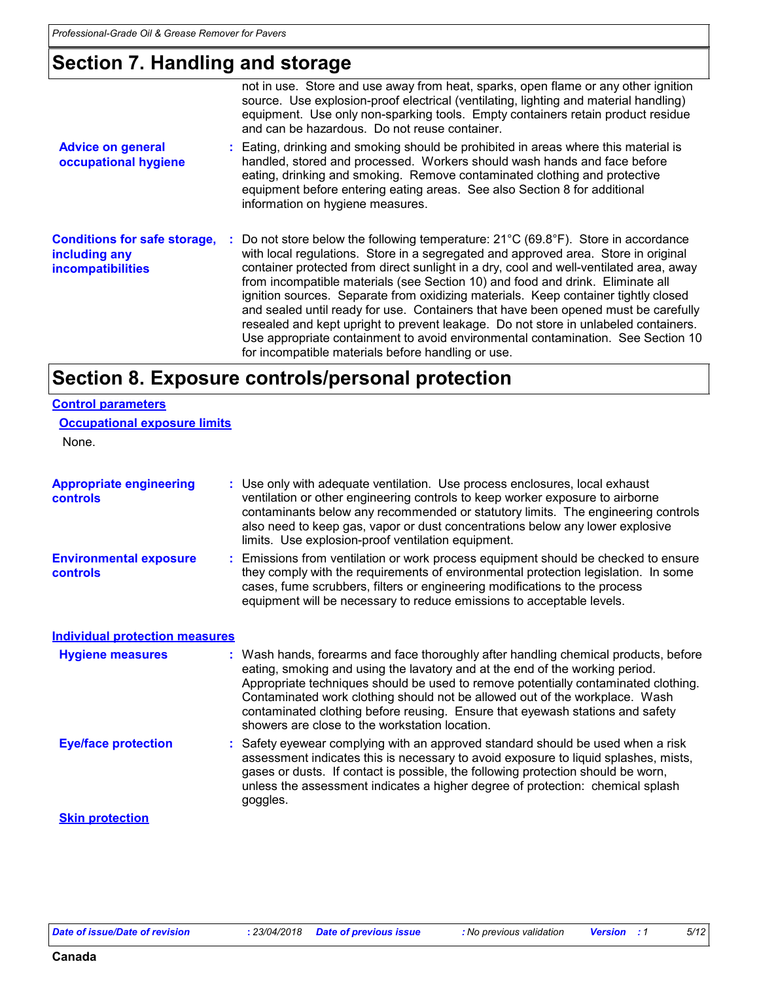### **Section 7. Handling and storage**

|                                                                                  | not in use. Store and use away from heat, sparks, open flame or any other ignition<br>source. Use explosion-proof electrical (ventilating, lighting and material handling)<br>equipment. Use only non-sparking tools. Empty containers retain product residue<br>and can be hazardous. Do not reuse container.                                                                                                                                                                                                                                                                                                                                                                                                                                                             |
|----------------------------------------------------------------------------------|----------------------------------------------------------------------------------------------------------------------------------------------------------------------------------------------------------------------------------------------------------------------------------------------------------------------------------------------------------------------------------------------------------------------------------------------------------------------------------------------------------------------------------------------------------------------------------------------------------------------------------------------------------------------------------------------------------------------------------------------------------------------------|
| <b>Advice on general</b><br>occupational hygiene                                 | : Eating, drinking and smoking should be prohibited in areas where this material is<br>handled, stored and processed. Workers should wash hands and face before<br>eating, drinking and smoking. Remove contaminated clothing and protective<br>equipment before entering eating areas. See also Section 8 for additional<br>information on hygiene measures.                                                                                                                                                                                                                                                                                                                                                                                                              |
| <b>Conditions for safe storage,</b><br>including any<br><b>incompatibilities</b> | : Do not store below the following temperature: $21^{\circ}C$ (69.8°F). Store in accordance<br>with local regulations. Store in a segregated and approved area. Store in original<br>container protected from direct sunlight in a dry, cool and well-ventilated area, away<br>from incompatible materials (see Section 10) and food and drink. Eliminate all<br>ignition sources. Separate from oxidizing materials. Keep container tightly closed<br>and sealed until ready for use. Containers that have been opened must be carefully<br>resealed and kept upright to prevent leakage. Do not store in unlabeled containers.<br>Use appropriate containment to avoid environmental contamination. See Section 10<br>for incompatible materials before handling or use. |

### **Section 8. Exposure controls/personal protection**

| <b>Control parameters</b>                  |                                                                                                                                                                                                                                                                                                                                                                                                                                                                             |  |  |  |  |
|--------------------------------------------|-----------------------------------------------------------------------------------------------------------------------------------------------------------------------------------------------------------------------------------------------------------------------------------------------------------------------------------------------------------------------------------------------------------------------------------------------------------------------------|--|--|--|--|
| <b>Occupational exposure limits</b>        |                                                                                                                                                                                                                                                                                                                                                                                                                                                                             |  |  |  |  |
| None.                                      |                                                                                                                                                                                                                                                                                                                                                                                                                                                                             |  |  |  |  |
| <b>Appropriate engineering</b><br>controls | : Use only with adequate ventilation. Use process enclosures, local exhaust<br>ventilation or other engineering controls to keep worker exposure to airborne<br>contaminants below any recommended or statutory limits. The engineering controls<br>also need to keep gas, vapor or dust concentrations below any lower explosive<br>limits. Use explosion-proof ventilation equipment.                                                                                     |  |  |  |  |
| <b>Environmental exposure</b><br>controls  | : Emissions from ventilation or work process equipment should be checked to ensure<br>they comply with the requirements of environmental protection legislation. In some<br>cases, fume scrubbers, filters or engineering modifications to the process<br>equipment will be necessary to reduce emissions to acceptable levels.                                                                                                                                             |  |  |  |  |
| <b>Individual protection measures</b>      |                                                                                                                                                                                                                                                                                                                                                                                                                                                                             |  |  |  |  |
| <b>Hygiene measures</b>                    | : Wash hands, forearms and face thoroughly after handling chemical products, before<br>eating, smoking and using the lavatory and at the end of the working period.<br>Appropriate techniques should be used to remove potentially contaminated clothing.<br>Contaminated work clothing should not be allowed out of the workplace. Wash<br>contaminated clothing before reusing. Ensure that eyewash stations and safety<br>showers are close to the workstation location. |  |  |  |  |
| <b>Eye/face protection</b>                 | : Safety eyewear complying with an approved standard should be used when a risk<br>assessment indicates this is necessary to avoid exposure to liquid splashes, mists,<br>gases or dusts. If contact is possible, the following protection should be worn,<br>unless the assessment indicates a higher degree of protection: chemical splash<br>goggles.                                                                                                                    |  |  |  |  |
| <b>Skin protection</b>                     |                                                                                                                                                                                                                                                                                                                                                                                                                                                                             |  |  |  |  |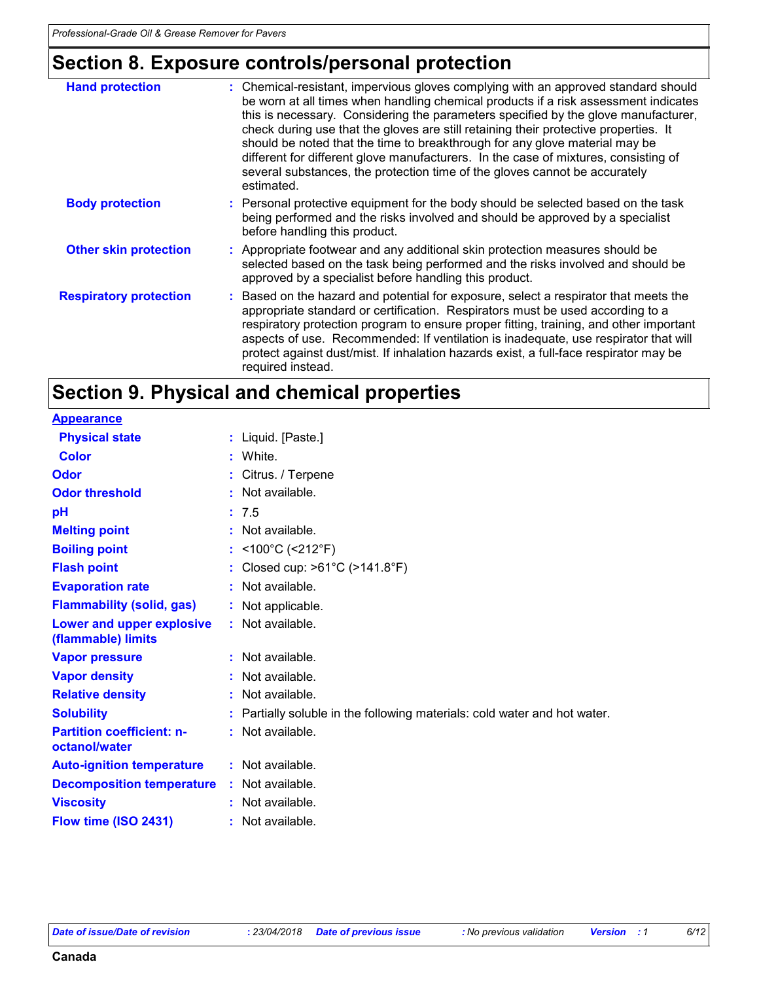## **Section 8. Exposure controls/personal protection**

| <b>Hand protection</b>        | : Chemical-resistant, impervious gloves complying with an approved standard should<br>be worn at all times when handling chemical products if a risk assessment indicates<br>this is necessary. Considering the parameters specified by the glove manufacturer,<br>check during use that the gloves are still retaining their protective properties. It<br>should be noted that the time to breakthrough for any glove material may be<br>different for different glove manufacturers. In the case of mixtures, consisting of<br>several substances, the protection time of the gloves cannot be accurately<br>estimated. |
|-------------------------------|---------------------------------------------------------------------------------------------------------------------------------------------------------------------------------------------------------------------------------------------------------------------------------------------------------------------------------------------------------------------------------------------------------------------------------------------------------------------------------------------------------------------------------------------------------------------------------------------------------------------------|
| <b>Body protection</b>        | : Personal protective equipment for the body should be selected based on the task<br>being performed and the risks involved and should be approved by a specialist<br>before handling this product.                                                                                                                                                                                                                                                                                                                                                                                                                       |
| <b>Other skin protection</b>  | : Appropriate footwear and any additional skin protection measures should be<br>selected based on the task being performed and the risks involved and should be<br>approved by a specialist before handling this product.                                                                                                                                                                                                                                                                                                                                                                                                 |
| <b>Respiratory protection</b> | : Based on the hazard and potential for exposure, select a respirator that meets the<br>appropriate standard or certification. Respirators must be used according to a<br>respiratory protection program to ensure proper fitting, training, and other important<br>aspects of use. Recommended: If ventilation is inadequate, use respirator that will<br>protect against dust/mist. If inhalation hazards exist, a full-face respirator may be<br>required instead.                                                                                                                                                     |

### **Section 9. Physical and chemical properties**

| <b>Appearance</b>                                 |                                                                           |
|---------------------------------------------------|---------------------------------------------------------------------------|
| <b>Physical state</b>                             | : Liquid. [Paste.]                                                        |
| <b>Color</b>                                      | : White.                                                                  |
| <b>Odor</b>                                       | : Citrus. / Terpene                                                       |
| <b>Odor threshold</b>                             | : Not available.                                                          |
| рH                                                | : 7.5                                                                     |
| <b>Melting point</b>                              | $:$ Not available.                                                        |
| <b>Boiling point</b>                              | : <100°C (<212°F)                                                         |
| <b>Flash point</b>                                | : Closed cup: >61°C (>141.8°F)                                            |
| <b>Evaporation rate</b>                           | : Not available.                                                          |
| <b>Flammability (solid, gas)</b>                  | : Not applicable.                                                         |
| Lower and upper explosive<br>(flammable) limits   | : Not available.                                                          |
| <b>Vapor pressure</b>                             | : Not available.                                                          |
| <b>Vapor density</b>                              | : Not available.                                                          |
| <b>Relative density</b>                           | : Not available.                                                          |
| <b>Solubility</b>                                 | : Partially soluble in the following materials: cold water and hot water. |
| <b>Partition coefficient: n-</b><br>octanol/water | : Not available.                                                          |
| <b>Auto-ignition temperature</b>                  | : Not available.                                                          |
| <b>Decomposition temperature</b>                  | : Not available.                                                          |
| <b>Viscosity</b>                                  | : Not available.                                                          |
| Flow time (ISO 2431)                              | : Not available.                                                          |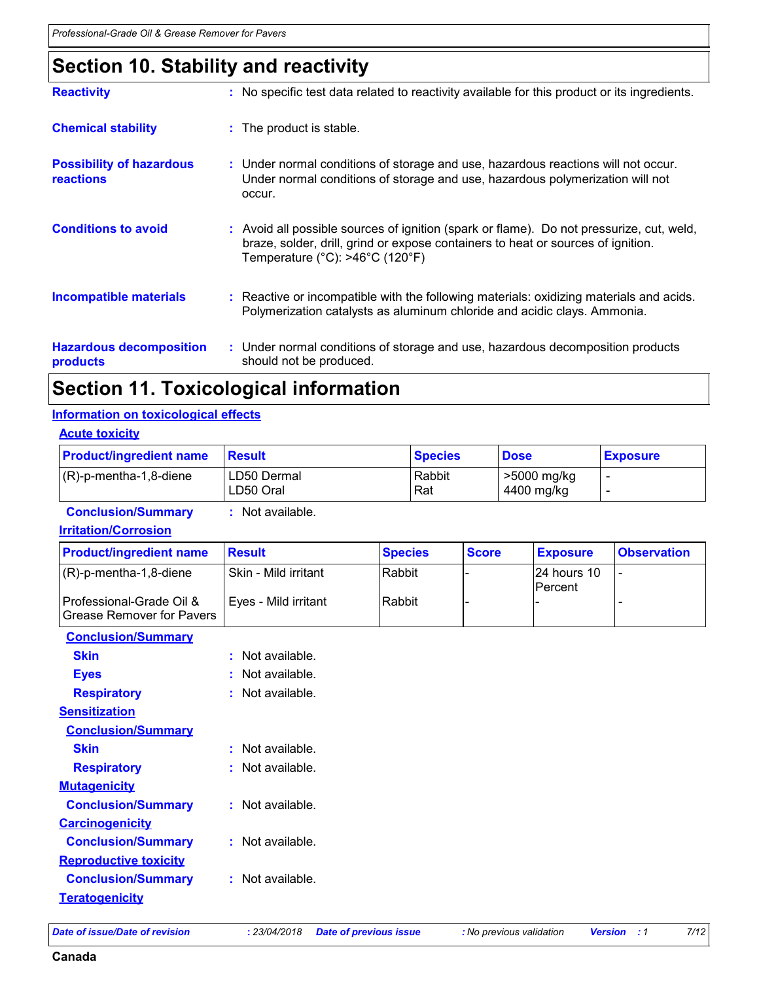### **Section 10. Stability and reactivity**

| <b>Reactivity</b>                                   | : No specific test data related to reactivity available for this product or its ingredients.                                                                                                                                                     |
|-----------------------------------------------------|--------------------------------------------------------------------------------------------------------------------------------------------------------------------------------------------------------------------------------------------------|
| <b>Chemical stability</b>                           | : The product is stable.                                                                                                                                                                                                                         |
| <b>Possibility of hazardous</b><br><b>reactions</b> | : Under normal conditions of storage and use, hazardous reactions will not occur.<br>Under normal conditions of storage and use, hazardous polymerization will not<br>occur.                                                                     |
| <b>Conditions to avoid</b>                          | : Avoid all possible sources of ignition (spark or flame). Do not pressurize, cut, weld,<br>braze, solder, drill, grind or expose containers to heat or sources of ignition.<br>Temperature ( $^{\circ}$ C): >46 $^{\circ}$ C (120 $^{\circ}$ F) |
| <b>Incompatible materials</b>                       | : Reactive or incompatible with the following materials: oxidizing materials and acids.<br>Polymerization catalysts as aluminum chloride and acidic clays. Ammonia.                                                                              |
| <b>Hazardous decomposition</b><br>products          | : Under normal conditions of storage and use, hazardous decomposition products<br>should not be produced.                                                                                                                                        |

### **Section 11. Toxicological information**

#### **Information on toxicological effects**

#### **Acute toxicity**

| <b>Product/ingredient name</b> | <b>Result</b>            | <b>Species</b> | <b>Dose</b>               | <b>Exposure</b> |
|--------------------------------|--------------------------|----------------|---------------------------|-----------------|
| $(R)-p$ -mentha-1,8-diene      | LD50 Dermal<br>LD50 Oral | Rabbit<br>Rat  | >5000 mg/kg<br>4400 mg/kg |                 |

**Conclusion/Summary :** Not available.

**Irritation/Corrosion**

| <b>Product/ingredient name</b>                               | <b>Result</b>        | <b>Species</b> | <b>Score</b> | <b>Exposure</b>                 | <b>Observation</b> |
|--------------------------------------------------------------|----------------------|----------------|--------------|---------------------------------|--------------------|
| (R)-p-mentha-1,8-diene                                       | Skin - Mild irritant | Rabbit         |              | 124 hours 10<br><b>IPercent</b> |                    |
| Professional-Grade Oil &<br><b>Grease Remover for Pavers</b> | Eves - Mild irritant | Rabbit         |              |                                 |                    |

| <b>Conclusion/Summary</b>    |                      |
|------------------------------|----------------------|
| Skin                         | Not available.<br>ŧ. |
| <b>Eyes</b>                  | Not available.       |
| <b>Respiratory</b>           | Not available.       |
| <b>Sensitization</b>         |                      |
| <b>Conclusion/Summary</b>    |                      |
| <b>Skin</b>                  | Not available.       |
| <b>Respiratory</b>           | Not available.       |
| <b>Mutagenicity</b>          |                      |
| <b>Conclusion/Summary</b>    | : Not available.     |
| <b>Carcinogenicity</b>       |                      |
| <b>Conclusion/Summary</b>    | : Not available.     |
| <b>Reproductive toxicity</b> |                      |
| <b>Conclusion/Summary</b>    | : Not available.     |
| <b>Teratogenicity</b>        |                      |
|                              |                      |

*Date of issue/Date of revision* **:** *23/04/2018 Date of previous issue : No previous validation Version : 1 7/12*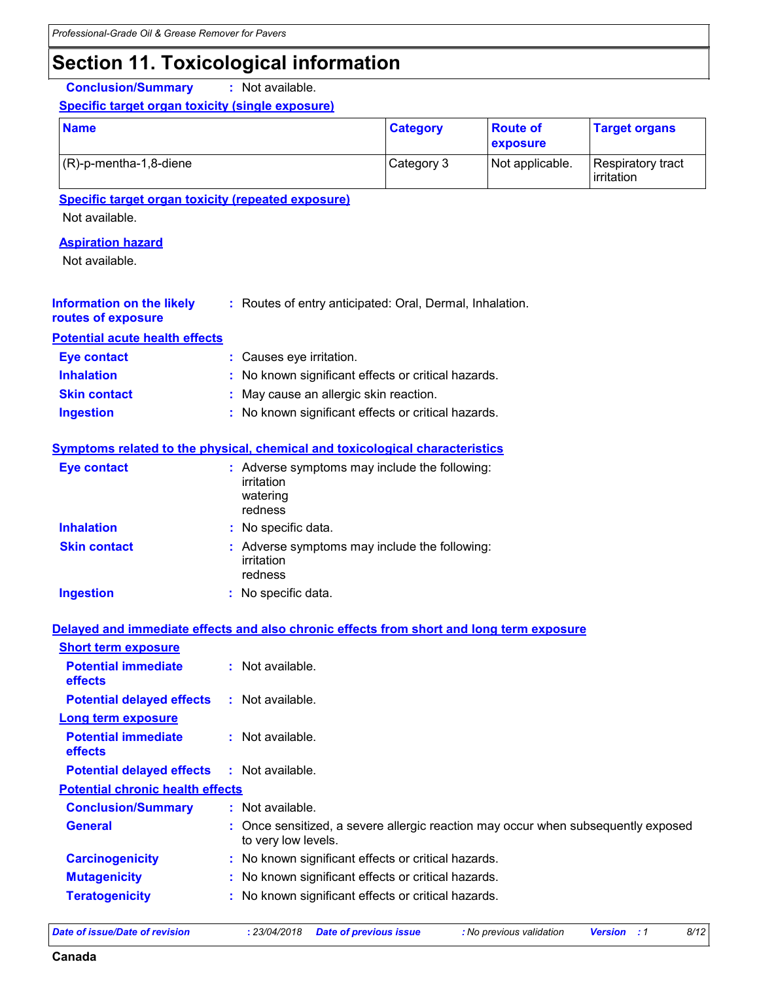### **Section 11. Toxicological information**

**Conclusion/Summary :** Not available.

#### **Specific target organ toxicity (single exposure)**

| <b>Name</b>               | <b>Category</b> | <b>Route of</b><br><b>exposure</b> | <b>Target organs</b>              |
|---------------------------|-----------------|------------------------------------|-----------------------------------|
| $(R)-p$ -mentha-1,8-diene | Category 3      | Not applicable.                    | Respiratory tract<br>l irritation |

**Specific target organ toxicity (repeated exposure)**

Not available.

#### **Aspiration hazard**

Not available.

| <b>Information on the likely</b> | : Routes of entry anticipated: Oral, Dermal, Inhalation. |
|----------------------------------|----------------------------------------------------------|
| routes of exposure               |                                                          |

**Potential acute health effects**

| Eye contact         | : Causes eye irritation.                            |
|---------------------|-----------------------------------------------------|
| <b>Inhalation</b>   | : No known significant effects or critical hazards. |
| <b>Skin contact</b> | : May cause an allergic skin reaction.              |
| <b>Ingestion</b>    | : No known significant effects or critical hazards. |

#### **Symptoms related to the physical, chemical and toxicological characteristics**

| <b>Eye contact</b>  | : Adverse symptoms may include the following:<br>irritation<br>watering<br>redness |
|---------------------|------------------------------------------------------------------------------------|
| <b>Inhalation</b>   | : No specific data.                                                                |
| <b>Skin contact</b> | : Adverse symptoms may include the following:<br>irritation<br>redness             |
| <b>Ingestion</b>    | : No specific data.                                                                |

#### **Delayed and immediate effects and also chronic effects from short and long term exposure**

| <b>Short term exposure</b>                   |                                                                                                          |
|----------------------------------------------|----------------------------------------------------------------------------------------------------------|
| <b>Potential immediate</b><br><b>effects</b> | $:$ Not available.                                                                                       |
| <b>Potential delayed effects</b>             | $:$ Not available.                                                                                       |
| Long term exposure                           |                                                                                                          |
| <b>Potential immediate</b><br><b>effects</b> | $:$ Not available.                                                                                       |
| <b>Potential delayed effects</b>             | $:$ Not available.                                                                                       |
| <b>Potential chronic health effects</b>      |                                                                                                          |
| <b>Conclusion/Summary</b>                    | $:$ Not available.                                                                                       |
| <b>General</b>                               | : Once sensitized, a severe allergic reaction may occur when subsequently exposed<br>to very low levels. |
| <b>Carcinogenicity</b>                       | : No known significant effects or critical hazards.                                                      |
| <b>Mutagenicity</b>                          | : No known significant effects or critical hazards.                                                      |
| <b>Teratogenicity</b>                        | : No known significant effects or critical hazards.                                                      |

*Date of issue/Date of revision* **:** *23/04/2018 Date of previous issue : No previous validation Version : 1 8/12*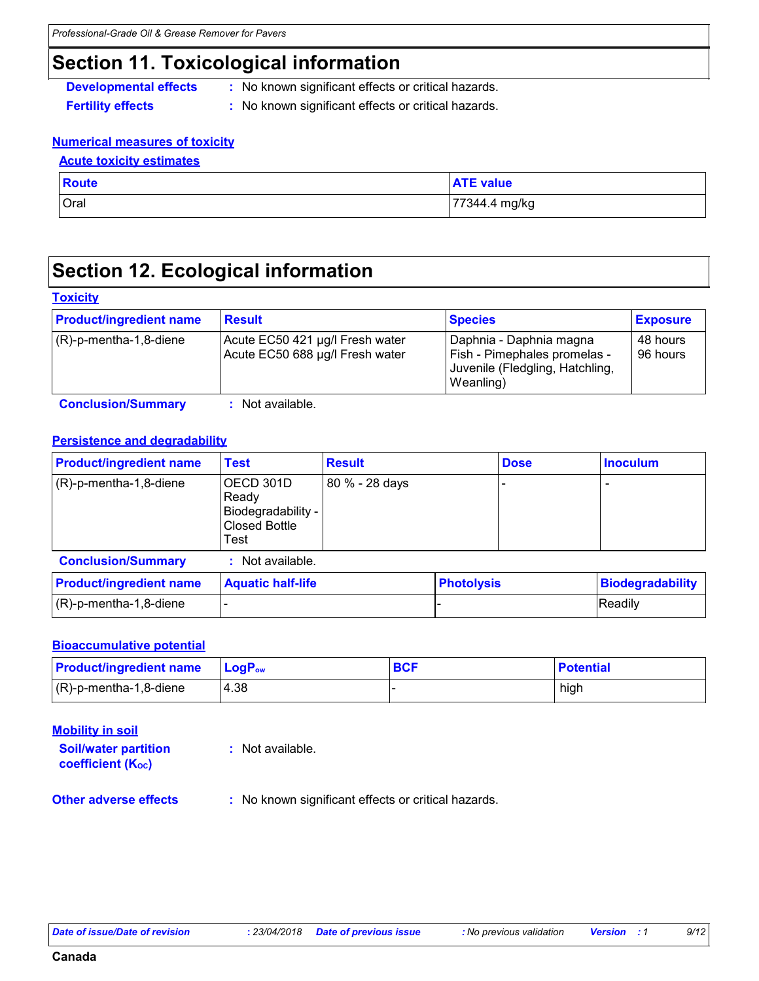### **Section 11. Toxicological information**

- **Developmental effects** : No known significant effects or critical hazards.
- **Fertility effects :** No known significant effects or critical hazards.

#### **Numerical measures of toxicity**

#### **Acute toxicity estimates**

| <b>Route</b> | <b>ATE value</b> |
|--------------|------------------|
| Oral         | 77344.4 mg/kg    |

### **Section 12. Ecological information**

#### **Toxicity**

| <b>Product/ingredient name</b> | <b>Result</b>                                                      | <b>Species</b>                                                                                          | <b>Exposure</b>        |
|--------------------------------|--------------------------------------------------------------------|---------------------------------------------------------------------------------------------------------|------------------------|
| (R)-p-mentha-1,8-diene         | Acute EC50 421 µg/l Fresh water<br>Acute EC50 688 µg/l Fresh water | Daphnia - Daphnia magna<br>Fish - Pimephales promelas -<br>Juvenile (Fledgling, Hatchling,<br>Weanling) | 48 hours<br>l 96 hours |

**Conclusion/Summary :** Not available.

#### **Persistence and degradability**

| <b>Product/ingredient name</b> | <b>Test</b>                                                              | <b>Result</b>  | <b>Dose</b> | <b>Inoculum</b> |
|--------------------------------|--------------------------------------------------------------------------|----------------|-------------|-----------------|
| $(R)-p$ -mentha-1,8-diene      | OECD 301D<br>Ready<br>Biodegradability -<br><b>Closed Bottle</b><br>Test | 80 % - 28 days |             |                 |

| <b>Conclusion/Summary</b>      | Not available.           |                   |                  |
|--------------------------------|--------------------------|-------------------|------------------|
| <b>Product/ingredient name</b> | <b>Aquatic half-life</b> | <b>Photolysis</b> | Biodegradability |
| $(R)-p$ -mentha-1,8-diene      |                          |                   | <b>IReadily</b>  |

#### **Bioaccumulative potential**

| <b>Product/ingredient name</b> | $\mathsf{LogP}_\mathsf{ow}$ | <b>BCF</b> | <b>Potential</b> |
|--------------------------------|-----------------------------|------------|------------------|
| $(R)$ -p-mentha-1,8-diene      | 4.38                        |            | high             |

| <b>Mobility in soil</b><br><b>Soil/water partition</b><br>coefficient (Koc) | : Not available.                                    |
|-----------------------------------------------------------------------------|-----------------------------------------------------|
| <b>Other adverse effects</b>                                                | : No known significant effects or critical hazards. |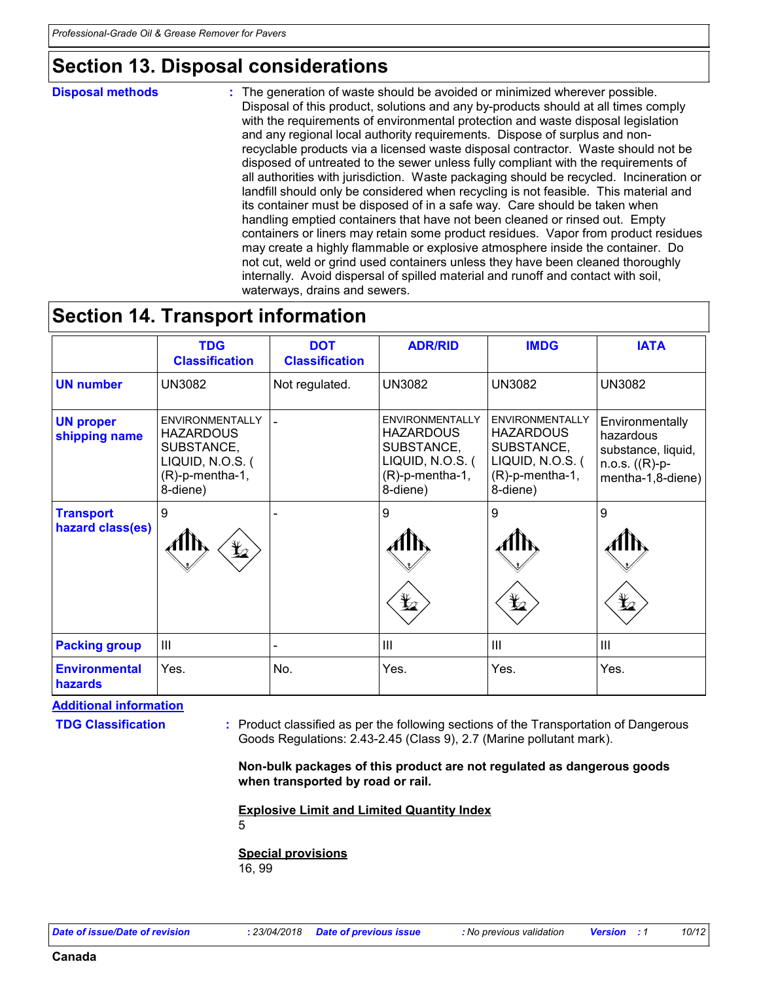### **Section 13. Disposal considerations**

#### **Disposal methods :**

The generation of waste should be avoided or minimized wherever possible. Disposal of this product, solutions and any by-products should at all times comply with the requirements of environmental protection and waste disposal legislation and any regional local authority requirements. Dispose of surplus and nonrecyclable products via a licensed waste disposal contractor. Waste should not be disposed of untreated to the sewer unless fully compliant with the requirements of all authorities with jurisdiction. Waste packaging should be recycled. Incineration or landfill should only be considered when recycling is not feasible. This material and its container must be disposed of in a safe way. Care should be taken when handling emptied containers that have not been cleaned or rinsed out. Empty containers or liners may retain some product residues. Vapor from product residues may create a highly flammable or explosive atmosphere inside the container. Do not cut, weld or grind used containers unless they have been cleaned thoroughly internally. Avoid dispersal of spilled material and runoff and contact with soil, waterways, drains and sewers.

### **Section 14. Transport information**

|                                      | <b>TDG</b><br><b>Classification</b>                                                                         | <b>DOT</b><br><b>Classification</b> | <b>ADR/RID</b>                                                                                          | <b>IMDG</b>                                                                                             | <b>IATA</b>                                                                                 |
|--------------------------------------|-------------------------------------------------------------------------------------------------------------|-------------------------------------|---------------------------------------------------------------------------------------------------------|---------------------------------------------------------------------------------------------------------|---------------------------------------------------------------------------------------------|
| <b>UN number</b>                     | <b>UN3082</b>                                                                                               | Not regulated.                      | <b>UN3082</b>                                                                                           | <b>UN3082</b>                                                                                           | <b>UN3082</b>                                                                               |
| <b>UN proper</b><br>shipping name    | <b>ENVIRONMENTALLY</b><br><b>HAZARDOUS</b><br>SUBSTANCE,<br>LIQUID, N.O.S. (<br>(R)-p-mentha-1,<br>8-diene) |                                     | ENVIRONMENTALLY<br><b>HAZARDOUS</b><br>SUBSTANCE,<br>LIQUID, N.O.S. (<br>$(R)-p$ -mentha-1,<br>8-diene) | ENVIRONMENTALLY<br><b>HAZARDOUS</b><br>SUBSTANCE,<br>LIQUID, N.O.S. (<br>$(R)-p$ -mentha-1,<br>8-diene) | Environmentally<br>hazardous<br>substance, liquid,<br>$n.o.s. ((R)-p-$<br>mentha-1,8-diene) |
| <b>Transport</b><br>hazard class(es) | $\boldsymbol{9}$<br>$\frac{1}{2}$                                                                           |                                     | 9<br>$\bigoplus$                                                                                        | 9<br>$\bigoplus$                                                                                        | 9<br>$\bigoplus$                                                                            |
| <b>Packing group</b>                 | $\mathbf{III}$                                                                                              |                                     | $\mathbf{III}$                                                                                          | III                                                                                                     | $\mathbf{III}$                                                                              |
| <b>Environmental</b><br>hazards      | Yes.                                                                                                        | No.                                 | Yes.                                                                                                    | Yes.                                                                                                    | Yes.                                                                                        |

**Additional information**

**TDG Classification :** Product classified as per the following sections of the Transportation of Dangerous Goods Regulations: 2.43-2.45 (Class 9), 2.7 (Marine pollutant mark).

> **Non-bulk packages of this product are not regulated as dangerous goods when transported by road or rail.**

**Explosive Limit and Limited Quantity Index**

5

**Special provisions** 16, 99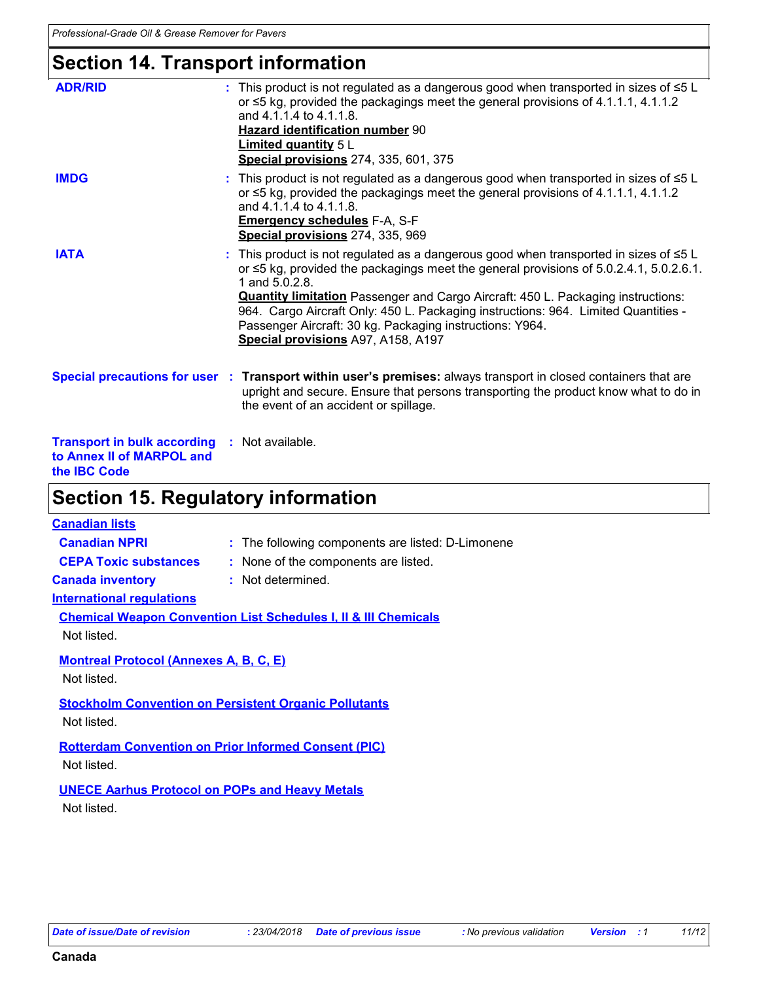### **Section 14. Transport information**

| <b>Section 15. Regulatory information</b>                                              |                                                                                                                                                                                                                                                                                                                                                                                                                                                                                          |
|----------------------------------------------------------------------------------------|------------------------------------------------------------------------------------------------------------------------------------------------------------------------------------------------------------------------------------------------------------------------------------------------------------------------------------------------------------------------------------------------------------------------------------------------------------------------------------------|
| <b>Transport in bulk according</b><br>to Annex II of MARPOL and<br>the <b>IBC</b> Code | : Not available.                                                                                                                                                                                                                                                                                                                                                                                                                                                                         |
|                                                                                        | Special precautions for user : Transport within user's premises: always transport in closed containers that are<br>upright and secure. Ensure that persons transporting the product know what to do in<br>the event of an accident or spillage.                                                                                                                                                                                                                                          |
| <b>IATA</b>                                                                            | This product is not regulated as a dangerous good when transported in sizes of $\leq 5$ L<br>or ≤5 kg, provided the packagings meet the general provisions of 5.0.2.4.1, 5.0.2.6.1.<br>1 and 5.0.2.8.<br><b>Quantity limitation</b> Passenger and Cargo Aircraft: 450 L. Packaging instructions:<br>964. Cargo Aircraft Only: 450 L. Packaging instructions: 964. Limited Quantities -<br>Passenger Aircraft: 30 kg. Packaging instructions: Y964.<br>Special provisions A97, A158, A197 |
| <b>IMDG</b>                                                                            | This product is not regulated as a dangerous good when transported in sizes of $\leq 5$ L<br>or $\leq$ 5 kg, provided the packagings meet the general provisions of 4.1.1.1, 4.1.1.2<br>and 4.1.1.4 to 4.1.1.8.<br><b>Emergency schedules F-A, S-F</b><br>Special provisions 274, 335, 969                                                                                                                                                                                               |
| <b>ADR/RID</b>                                                                         | : This product is not regulated as a dangerous good when transported in sizes of $\leq 5$ L<br>or ≤5 kg, provided the packagings meet the general provisions of 4.1.1.1, 4.1.1.2<br>and 4.1.1.4 to 4.1.1.8.<br><b>Hazard identification number 90</b><br><b>Limited quantity 5 L</b><br><b>Special provisions</b> 274, 335, 601, 375                                                                                                                                                     |

#### **Canadian lists**

|  | <b>Canadian NPRI</b> | The following components are listed: D-Limonene |
|--|----------------------|-------------------------------------------------|
|--|----------------------|-------------------------------------------------|

- 
- **CEPA Toxic substances :** None of the components are listed.

**Canada inventory :** Not determined.

#### **International regulations**

| <b>Chemical Weapon Convention List Schedules I, II &amp; III Chemicals</b> |  |
|----------------------------------------------------------------------------|--|
| Not listed.                                                                |  |

#### **Montreal Protocol (Annexes A, B, C, E)**

Not listed.

### **Stockholm Convention on Persistent Organic Pollutants**

Not listed.

### **Rotterdam Convention on Prior Informed Consent (PIC)**

Not listed.

#### **UNECE Aarhus Protocol on POPs and Heavy Metals**

Not listed.